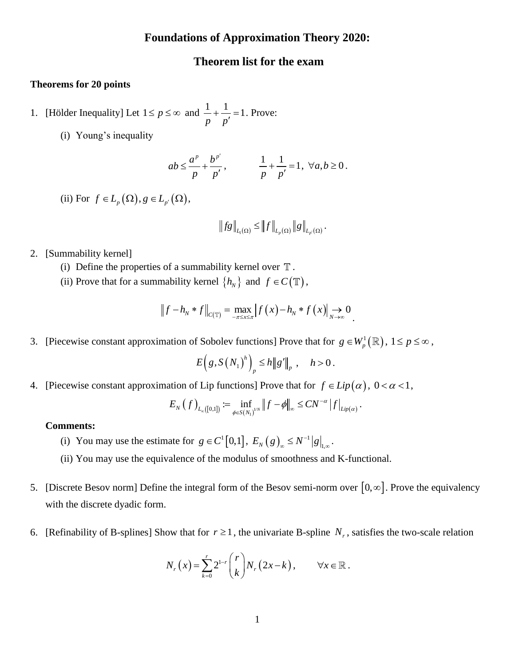# **Foundations of Approximation Theory 2020:**

# **Theorem list for the exam**

#### **Theorems for 20 points**

- 1. [Hölder Inequality] Let  $1 \le p \le \infty$  and  $\frac{1}{p} + \frac{1}{p} = 1$ *p p*  $+ \frac{1}{4} =$  $\overline{\phantom{a}}$ . Prove:
	- (i) Young's inequality

$$
ab \leq \frac{a^p}{p} + \frac{b^{p'}}{p'},
$$
  $\frac{1}{p} + \frac{1}{p'} = 1, \forall a, b \geq 0.$ 

(ii) For  $f \in L_p(\Omega)$ ,  $g \in L_{p'}(\Omega)$ ,

$$
\left\|fg\right\|_{L_{\mathrm{I}}\left(\Omega\right)} \leq \left\|f\right\|_{L_{\rho}\left(\Omega\right)} \left\|g\right\|_{L_{\rho'}\left(\Omega\right)}.
$$

- 2. [Summability kernel]
	- (i) Define the properties of a summability kernel over  $\mathbb T$ .
	- (ii) Prove that for a summability kernel  $\{h_N\}$  and  $f \in C(\mathbb{T})$ ,

$$
\|f - h_N * f\|_{C(\mathbb{T})} = \max_{-\pi \le x \le \pi} |f(x) - h_N * f(x)| \to 0
$$

3. [Piecewise constant approximation of Sobolev functions] Prove that for  $g \in W_p^1(\mathbb{R})$  $g \in W^1_p(\mathbb{R}), 1 \leq p \leq \infty$ ,

$$
E\Big(g, S\big(N_1\big)^h\Big)_p \leq h \|g'\|_p \, , \quad h>0 \, .
$$

4. [Piecewise constant approximation of Lip functions] Prove that for  $f \in Lip(\alpha)$ ,  $0 < \alpha < 1$ ,<br> $E_N(f)_{L_\alpha([0,1])} := \inf_{\phi \in S(N_1)^{1/N}} ||f - \phi||_{\infty} \le CN^{-\alpha} |f|_{Lip(\alpha)}$ .

$$
E_N(f)_{L_\infty([0,1])} := \inf_{\phi \in S(N_1)^{1/N}} \|f - \phi\|_{\infty} \leq C N^{-\alpha} |f|_{Lip(\alpha)}
$$

#### **Comments:**

- (i) You may use the estimate for  $g \in C^1[0,1]$ ,  $E_N(g)_{\infty} \le N^{-1} |g|_{1,\infty}$ .
- (ii) You may use the equivalence of the modulus of smoothness and K-functional.
- 5. [Discrete Besov norm] Define the integral form of the Besov semi-norm over  $[0, \infty]$ . Prove the equivalency with the discrete dyadic form.
- 6. [Refinability of B-splines] Show that for  $r \ge 1$ , the univariate B-spline  $N_r$ , satisfies the two-scale relation

$$
N_r(x) = \sum_{k=0}^r 2^{1-r} {r \choose k} N_r(2x-k), \qquad \forall x \in \mathbb{R}.
$$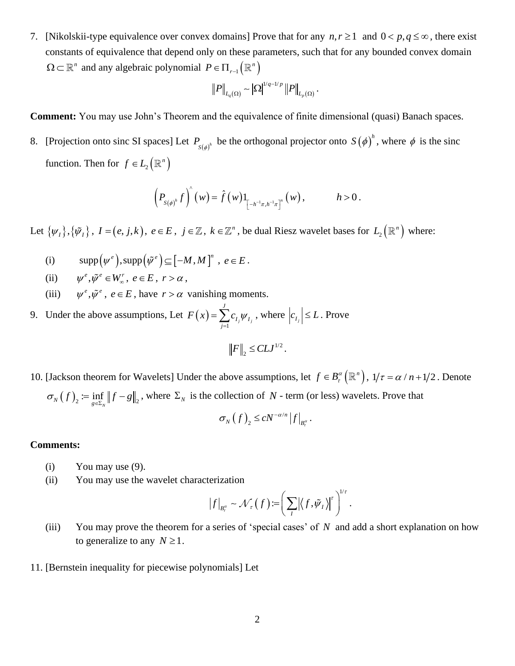<span id="page-1-1"></span>7. [Nikolskii-type equivalence over convex domains] Prove that for any  $n, r \ge 1$  and  $0 < p, q \le \infty$ , there exist constants of equivalence that depend only on these parameters, such that for any bounded convex domain  $\Omega \subset \mathbb{R}^n$  and any algebraic polynomial  $P \in \Pi_{r-1}(\mathbb{R}^n)$ 

$$
\left\|P\right\|_{L_q(\Omega)} \sim \left|\Omega\right|^{1/q-1/p} \left\|P\right\|_{L_p(\Omega)}.
$$

**Comment:** You may use John's Theorem and the equivalence of finite dimensional (quasi) Banach spaces.

<span id="page-1-2"></span>8. [Projection onto sinc SI spaces] Let  $P_{s(\phi)^h}$  be the orthogonal projector onto  $S(\phi)^h$ , where  $\phi$  is the sinc function. Then for  $f \in L_2(\mathbb{R}^n)$ 

$$
\left(P_{S(\phi)^h}f\right)^{\hat{}}(w)=\hat{f}(w)1_{\left[-h^{-1}\pi,h^{-1}\pi\right]^n}(w),\qquad h>0.
$$

Let  $\{\psi_I\}, \{\tilde{\psi}_I\}, I = (e, j, k), e \in E, j \in \mathbb{Z}, k \in \mathbb{Z}^n$ , be dual Riesz wavelet bases for  $L_2(\mathbb{R}^n)$  where:

- (i)  $\text{supp}(\psi^e), \text{supp}(\tilde{\psi}^e) \subseteq [-M, M]^n, e \in E.$
- (ii)  $\psi^e, \tilde{\psi}^e \in W_{\infty}^r, e \in E, r > \alpha,$
- (iii)  $\psi^e, \tilde{\psi}^e, e \in E$ , have  $r > \alpha$  vanishing moments.
- <span id="page-1-0"></span>9. Under the above assumptions, Let  $F(x)$  $\frac{1}{1}$   $\frac{1}{j}$   $\frac{1}{j}$ *J*  $I_i \Psi I$ *j*  $F(x) = \sum c_i \psi$  $=\sum_{j=1}^{k} c_{I_j} \psi_{I_j}$ , where  $|c_{I_j}| \leq L$ . Prove

$$
\left\|F\right\|_2 \leq CLJ^{1/2}.
$$

10. [Jackson theorem for Wavelets] Under the above assumptions, let  $f \in B^{\alpha}_{\tau}(\mathbb{R}^n)$ ,  $1/\tau = \alpha / n + 1/2$ . Denote

 $\sigma_N(f)_2 := \inf_{g \in \Sigma_N} ||f - g||_2$ , where  $\Sigma_N$  is the collection of N - term (or less) wavelets. Prove that

$$
\sigma_N(f)_2 \le cN^{-\alpha/n} |f|_{B_t^{\alpha}}.
$$

### **Comments:**

- (i) You may use [\(9\)](#page-1-0).
- (ii) You may use the wavelet characterization

$$
|f|_{B_r^{\alpha}} \sim \mathcal{N}_\tau(f) := \left(\sum_I | \langle f, \tilde{\psi}_I \rangle |^{\tau}\right)^{1/\tau}.
$$

- (iii) You may prove the theorem for a series of 'special cases' of  $N$  and add a short explanation on how to generalize to any  $N \geq 1$ .
- 11. [Bernstein inequality for piecewise polynomials] Let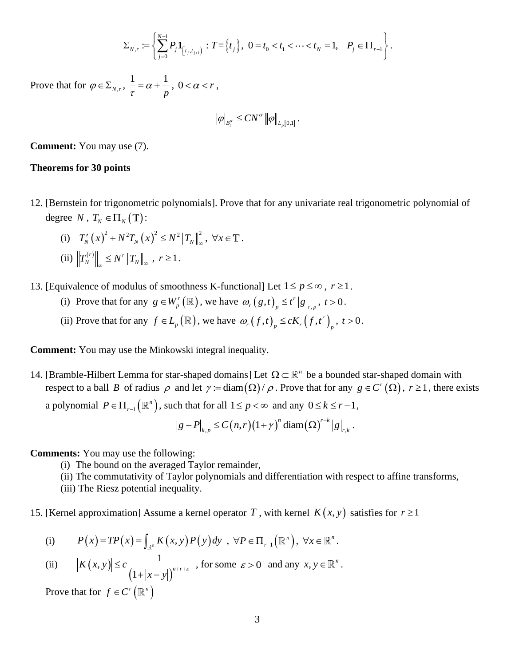$$
\Sigma_{\mathcal{N},r}:=\left\{\sum_{j=0}^{\mathcal{N}-1}P_j\mathbf{1}_{\left[t_j,t_{j+1}\right)}\,:\,T\!=\!\left\{t_j\right\},\ 0=t_0 < t_1 < \cdots < t_N=1,\quad P_j\in\Pi_{r-1}\right\}.
$$

Prove that for  $\varphi \in \sum_{N,r}$ ,  $\frac{1}{n} = \alpha + \frac{1}{n}$  $\frac{a+-p}{p}$  $\frac{1}{\tau} = \alpha + \frac{1}{p}, \ 0 < \alpha < r,$ 

$$
\left|\varphi\right|_{B_r^\alpha}\leq CN^\alpha\left\|\varphi\right\|_{L_p[0,1]}.
$$

**Comment:** You may use [\(7\)](#page-1-1).

#### **Theorems for 30 points**

- 12. [Bernstein for trigonometric polynomials]. Prove that for any univariate real trigonometric polynomial of degree  $N$ ,  $T_N \in \Pi_N(\mathbb{T})$ :
	- (i)  $T_N'(x)^2 + N^2 T_N(x)^2 \le N^2 ||T_N||_{\infty}^2, \forall x \in \mathbb{T}.$ (ii)  $||T_N^{(r)}||_{\infty} \le N^r ||T_N||_{\infty}$ ,  $r \ge 1$ .
- 13. [Equivalence of modulus of smoothness K-functional] Let  $1 \le p \le \infty$ ,  $r \ge 1$ .
	- (i) Prove that for any  $g \in W_n^r(\mathbb{R})$  $g \in W_p^r(\mathbb{R})$ , we have  $\omega_r(g,t)_p \le t^r |g|_{r,1}$  $\omega_r(g,t)_p \leq t^r |g|_{r,p}, t > 0.$
	- (ii) Prove that for any  $f \in L_p(\mathbb{R})$ , we have  $\omega_r(f,t)_p \le cK_r(f,t^r)_p$ ,  $t > 0$ .

**Comment:** You may use the Minkowski integral inequality.

14. [Bramble-Hilbert Lemma for star-shaped domains] Let  $\Omega \subset \mathbb{R}^n$  be a bounded star-shaped domain with respect to a ball *B* of radius  $\rho$  and let  $\gamma := \text{diam}(\Omega) / \rho$ . Prove that for any  $g \in C^r(\Omega)$ ,  $r \ge 1$ , there exists a polynomial  $P \in \Pi_{r-1}(\mathbb{R}^n)$ , such that for all  $1 \le p < \infty$  and any  $0 \le k \le r-1$ ,<br> $|g - P|_{k,p} \le C(n,r)(1+\gamma)^n \operatorname{diam}(\Omega)^{r-k} |g|_{r,k}$ .

$$
|g-P|_{k,p} \leq C(n,r) (1+\gamma)^n \operatorname{diam}(\Omega)^{r-k} |g|_{r,k}.
$$

**Comments:** You may use the following:

- (i) The bound on the averaged Taylor remainder,
- (ii) The commutativity of Taylor polynomials and differentiation with respect to affine transforms,
- (iii) The Riesz potential inequality.
- 15. [Kernel approximation] Assume a kernel operator T, with kernel  $K(x, y)$  satisfies for  $r \ge 1$

(i) 
$$
P(x) = TP(x) = \int_{\mathbb{R}^n} K(x, y) P(y) dy, \forall P \in \Pi_{r-1}(\mathbb{R}^n), \forall x \in \mathbb{R}^n.
$$

(ii) 
$$
|K(x, y)| \le c \frac{1}{(1+|x-y|)^{n+r+\varepsilon}}
$$
, for some  $\varepsilon > 0$  and any  $x, y \in \mathbb{R}^n$ .

Prove that for  $f \in C^r(\mathbb{R}^n)$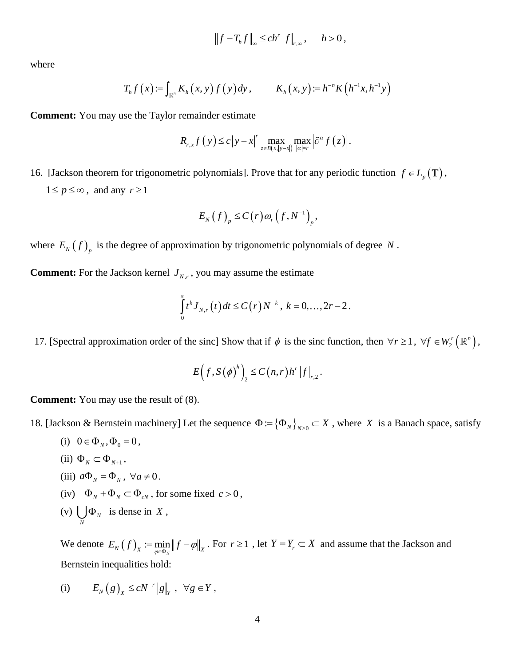$$
||f - T_h f||_{\infty} \le ch^r |f|_{r,\infty}, \quad h > 0,
$$

where

$$
T_{h}f(x) := \int_{\mathbb{R}^{n}} K_{h}(x, y) f(y) dy, \qquad K_{h}(x, y) := h^{-n} K\left(h^{-1}x, h^{-1}y\right)
$$

**Comment:** You may use the Taylor remainder estimate

$$
R_{r,x}f(y) \leq c\left|y-x\right|^{r} \max_{z \in B(x,|y-x|)} \max_{|a|=r} \left|\partial^{\alpha} f(z)\right|.
$$

16. [Jackson theorem for trigonometric polynomials]. Prove that for any periodic function  $f \in L_p(\mathbb{T})$ ,  $1 \le p \le \infty$ , and any  $r \ge 1$ 

$$
E_{N}\left(f\right)_{p}\le C\big(r\big)\varpi_{r}\Big(f,N^{-1}\Big)_{p},
$$

where  $E_N(f)$ <sub>p</sub> is the degree of approximation by trigonometric polynomials of degree N.

**Comment:** For the Jackson kernel  $J_{N,r}$ , you may assume the estimate

$$
\int_{0}^{\pi} t^{k} J_{N,r}(t) dt \leq C(r) N^{-k}, k = 0,..., 2r-2.
$$

17. [Spectral approximation order of the sinc] Show that if  $\phi$  is the sinc function, then  $\forall r \ge 1$ ,  $\forall f \in W_2^r(\mathbb{R}^n)$ ,

$$
E(f,S(\phi)^h)_{2} \leq C(n,r)h^r|f|_{r,2}.
$$

**Comment:** You may use the result of [\(8\)](#page-1-2).

18. [Jackson & Bernstein machinery] Let the sequence  $\Phi = {\{\Phi_N\}}_{N\geq 0} \subset X$ , where X is a Banach space, satisfy

- (i)  $0 \in \Phi_N, \Phi_0 = 0$ ,
- (ii)  $\Phi_N \subset \Phi_{N+1}$ ,
- (iii)  $a\Phi_N = \Phi_N$ ,  $\forall a \neq 0$ .
- (iv)  $\Phi_N + \Phi_N \subset \Phi_{cN}$ , for some fixed  $c > 0$ ,
- (v)  $\bigcup \Phi_{N}$ *N*  $\Phi_{N}$  is dense in X,

We denote  $E_N(f)_X := \min_{\varphi \in \Phi_N} ||f - \varphi||_X$ . For  $r \ge 1$ , let  $Y = Y_r \subset X$  and assume that the Jackson and Bernstein inequalities hold:

(i) 
$$
E_N(g)_X \le cN^{-r} |g|_Y, \ \forall g \in Y,
$$